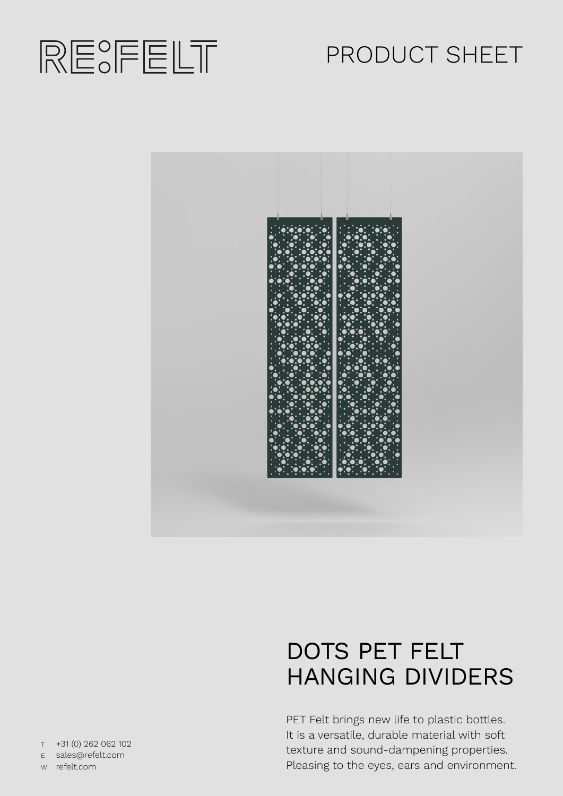

# PRODUCT SHEET



# DOTS PET FELT HANGING DIVIDERS

PET Felt brings new life to plastic bottles. It is a versatile, durable material with soft texture and sound-dampening properties. Pleasing to the eyes, ears and environment.

T +31 (0) 262 062 102 E sales@refelt.com

W refelt.com